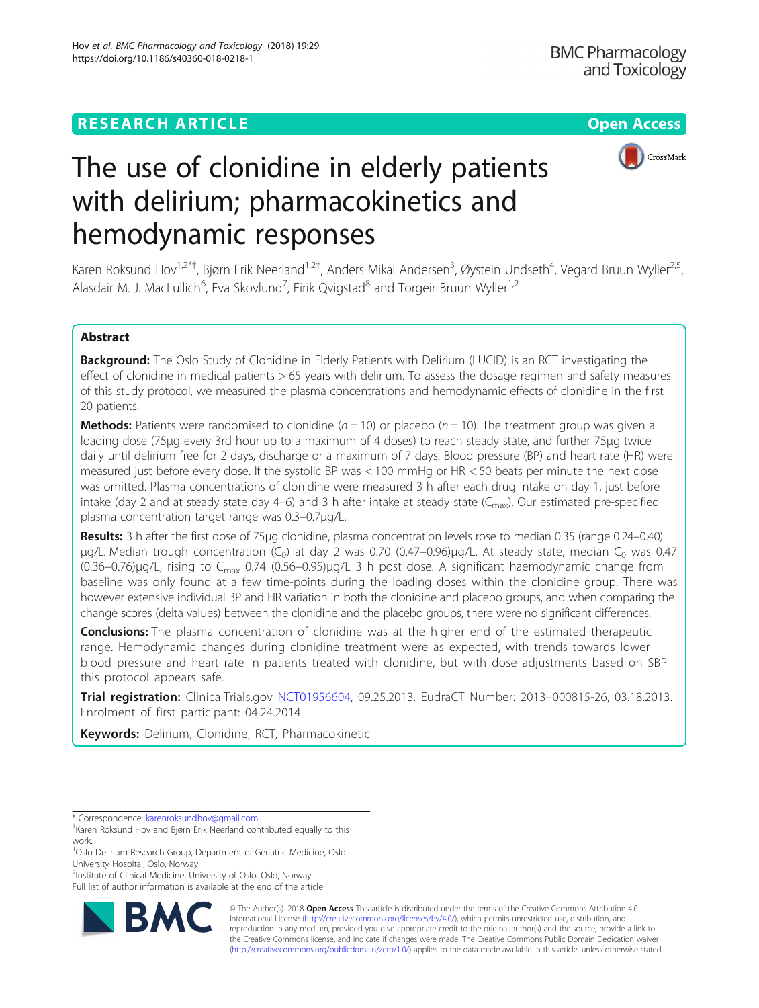## **RESEARCH ARTICLE Example 2014 12:30 The Contract of Contract ACCESS**



# The use of clonidine in elderly patients with delirium; pharmacokinetics and hemodynamic responses

Karen Roksund Hov<sup>1,2\*†</sup>, Bjørn Erik Neerland<sup>1,2†</sup>, Anders Mikal Andersen<sup>3</sup>, Øystein Undseth<sup>4</sup>, Vegard Bruun Wyller<sup>2,5</sup>, Alasdair M. J. MacLullich<sup>6</sup>, Eva Skovlund<sup>7</sup>, Eirik Qvigstad<sup>8</sup> and Torgeir Bruun Wyller<sup>1,2</sup>

## Abstract

Background: The Oslo Study of Clonidine in Elderly Patients with Delirium (LUCID) is an RCT investigating the effect of clonidine in medical patients > 65 years with delirium. To assess the dosage regimen and safety measures of this study protocol, we measured the plasma concentrations and hemodynamic effects of clonidine in the first 20 patients.

**Methods:** Patients were randomised to clonidine ( $n = 10$ ) or placebo ( $n = 10$ ). The treatment group was given a loading dose (75μg every 3rd hour up to a maximum of 4 doses) to reach steady state, and further 75μg twice daily until delirium free for 2 days, discharge or a maximum of 7 days. Blood pressure (BP) and heart rate (HR) were measured just before every dose. If the systolic BP was < 100 mmHg or HR < 50 beats per minute the next dose was omitted. Plasma concentrations of clonidine were measured 3 h after each drug intake on day 1, just before intake (day 2 and at steady state day 4–6) and 3 h after intake at steady state ( $C_{\text{max}}$ ). Our estimated pre-specified plasma concentration target range was 0.3–0.7μg/L.

Results: 3 h after the first dose of 75µg clonidine, plasma concentration levels rose to median 0.35 (range 0.24–0.40) μg/L. Median trough concentration (C<sub>0</sub>) at day 2 was 0.70 (0.47–0.96)μg/L. At steady state, median C<sub>0</sub> was 0.47  $(0.36-0.76)$ μg/L, rising to C<sub>max</sub> 0.74  $(0.56-0.95)$ μg/L 3 h post dose. A significant haemodynamic change from baseline was only found at a few time-points during the loading doses within the clonidine group. There was however extensive individual BP and HR variation in both the clonidine and placebo groups, and when comparing the change scores (delta values) between the clonidine and the placebo groups, there were no significant differences.

**Conclusions:** The plasma concentration of clonidine was at the higher end of the estimated therapeutic range. Hemodynamic changes during clonidine treatment were as expected, with trends towards lower blood pressure and heart rate in patients treated with clonidine, but with dose adjustments based on SBP this protocol appears safe.

Trial registration: ClinicalTrials.gov [NCT01956604](https://clinicaltrials.gov/ct2/show/NCT01956604), 09.25.2013. EudraCT Number: 2013–000815-26, 03.18.2013. Enrolment of first participant: 04.24.2014.

Keywords: Delirium, Clonidine, RCT, Pharmacokinetic

<sup>2</sup>Institute of Clinical Medicine, University of Oslo, Oslo, Norway

Full list of author information is available at the end of the article



© The Author(s). 2018 Open Access This article is distributed under the terms of the Creative Commons Attribution 4.0 International License [\(http://creativecommons.org/licenses/by/4.0/](http://creativecommons.org/licenses/by/4.0/)), which permits unrestricted use, distribution, and reproduction in any medium, provided you give appropriate credit to the original author(s) and the source, provide a link to the Creative Commons license, and indicate if changes were made. The Creative Commons Public Domain Dedication waiver [\(http://creativecommons.org/publicdomain/zero/1.0/](http://creativecommons.org/publicdomain/zero/1.0/)) applies to the data made available in this article, unless otherwise stated.

<sup>\*</sup> Correspondence: [karenroksundhov@gmail.com](mailto:karenroksundhov@gmail.com) †

<sup>&</sup>lt;sup>+</sup>Karen Roksund Hov and Bjørn Erik Neerland contributed equally to this work.

<sup>&</sup>lt;sup>1</sup>Oslo Delirium Research Group, Department of Geriatric Medicine, Oslo University Hospital, Oslo, Norway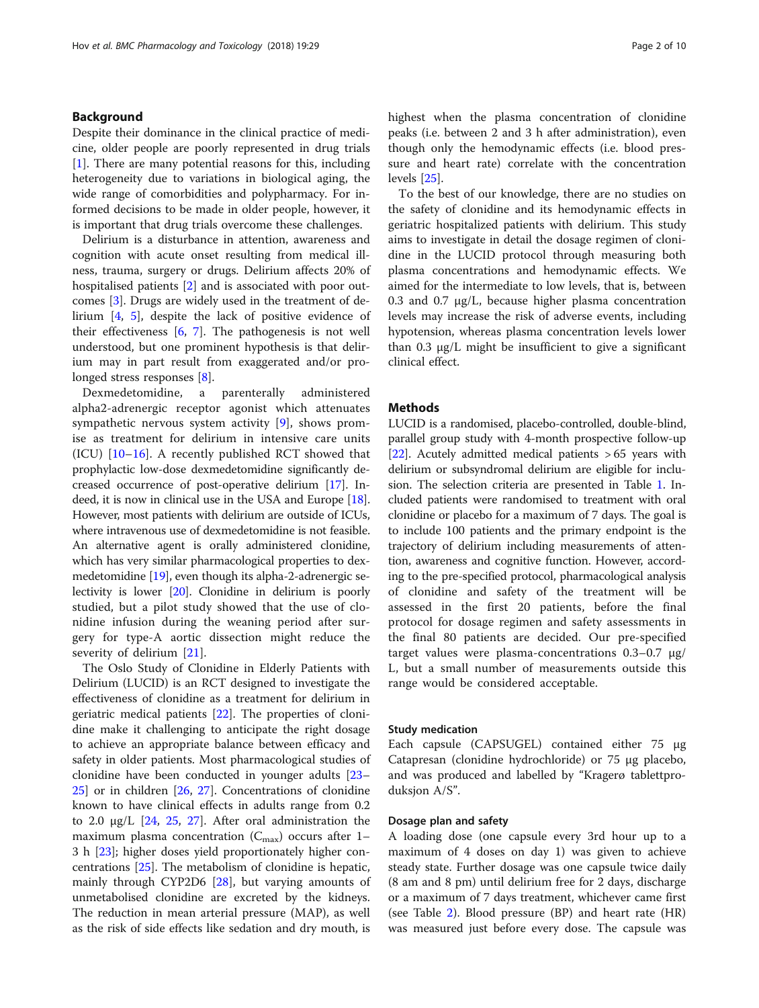## Background

Despite their dominance in the clinical practice of medicine, older people are poorly represented in drug trials [[1\]](#page-8-0). There are many potential reasons for this, including heterogeneity due to variations in biological aging, the wide range of comorbidities and polypharmacy. For informed decisions to be made in older people, however, it is important that drug trials overcome these challenges.

Delirium is a disturbance in attention, awareness and cognition with acute onset resulting from medical illness, trauma, surgery or drugs. Delirium affects 20% of hospitalised patients [[2](#page-8-0)] and is associated with poor outcomes [[3\]](#page-8-0). Drugs are widely used in the treatment of delirium [\[4,](#page-8-0) [5](#page-8-0)], despite the lack of positive evidence of their effectiveness  $[6, 7]$  $[6, 7]$  $[6, 7]$  $[6, 7]$  $[6, 7]$ . The pathogenesis is not well understood, but one prominent hypothesis is that delirium may in part result from exaggerated and/or pro-longed stress responses [\[8](#page-8-0)].

Dexmedetomidine, a parenterally administered alpha2-adrenergic receptor agonist which attenuates sympathetic nervous system activity [\[9](#page-8-0)], shows promise as treatment for delirium in intensive care units (ICU)  $[10-16]$  $[10-16]$  $[10-16]$  $[10-16]$ . A recently published RCT showed that prophylactic low-dose dexmedetomidine significantly decreased occurrence of post-operative delirium [\[17](#page-9-0)]. Indeed, it is now in clinical use in the USA and Europe [[18](#page-9-0)]. However, most patients with delirium are outside of ICUs, where intravenous use of dexmedetomidine is not feasible. An alternative agent is orally administered clonidine, which has very similar pharmacological properties to dexmedetomidine [\[19\]](#page-9-0), even though its alpha-2-adrenergic selectivity is lower [[20](#page-9-0)]. Clonidine in delirium is poorly studied, but a pilot study showed that the use of clonidine infusion during the weaning period after surgery for type-A aortic dissection might reduce the severity of delirium [[21\]](#page-9-0).

The Oslo Study of Clonidine in Elderly Patients with Delirium (LUCID) is an RCT designed to investigate the effectiveness of clonidine as a treatment for delirium in geriatric medical patients [[22\]](#page-9-0). The properties of clonidine make it challenging to anticipate the right dosage to achieve an appropriate balance between efficacy and safety in older patients. Most pharmacological studies of clonidine have been conducted in younger adults [[23](#page-9-0)– [25\]](#page-9-0) or in children [\[26,](#page-9-0) [27\]](#page-9-0). Concentrations of clonidine known to have clinical effects in adults range from 0.2 to 2.0 μg/L [[24](#page-9-0), [25](#page-9-0), [27\]](#page-9-0). After oral administration the maximum plasma concentration ( $C_{\text{max}}$ ) occurs after 1– 3h[[23](#page-9-0)]; higher doses yield proportionately higher concentrations [[25](#page-9-0)]. The metabolism of clonidine is hepatic, mainly through CYP2D6 [[28\]](#page-9-0), but varying amounts of unmetabolised clonidine are excreted by the kidneys. The reduction in mean arterial pressure (MAP), as well as the risk of side effects like sedation and dry mouth, is highest when the plasma concentration of clonidine peaks (i.e. between 2 and 3 h after administration), even though only the hemodynamic effects (i.e. blood pressure and heart rate) correlate with the concentration levels [\[25\]](#page-9-0).

To the best of our knowledge, there are no studies on the safety of clonidine and its hemodynamic effects in geriatric hospitalized patients with delirium. This study aims to investigate in detail the dosage regimen of clonidine in the LUCID protocol through measuring both plasma concentrations and hemodynamic effects. We aimed for the intermediate to low levels, that is, between 0.3 and 0.7 μg/L, because higher plasma concentration levels may increase the risk of adverse events, including hypotension, whereas plasma concentration levels lower than 0.3 μg/L might be insufficient to give a significant clinical effect.

## **Methods**

LUCID is a randomised, placebo-controlled, double-blind, parallel group study with 4-month prospective follow-up [[22](#page-9-0)]. Acutely admitted medical patients  $> 65$  years with delirium or subsyndromal delirium are eligible for inclusion. The selection criteria are presented in Table [1](#page-2-0). Included patients were randomised to treatment with oral clonidine or placebo for a maximum of 7 days. The goal is to include 100 patients and the primary endpoint is the trajectory of delirium including measurements of attention, awareness and cognitive function. However, according to the pre-specified protocol, pharmacological analysis of clonidine and safety of the treatment will be assessed in the first 20 patients, before the final protocol for dosage regimen and safety assessments in the final 80 patients are decided. Our pre-specified target values were plasma-concentrations 0.3–0.7 μg/ L, but a small number of measurements outside this range would be considered acceptable.

## Study medication

Each capsule (CAPSUGEL) contained either 75 μg Catapresan (clonidine hydrochloride) or 75 μg placebo, and was produced and labelled by "Kragerø tablettproduksjon A/S".

## Dosage plan and safety

A loading dose (one capsule every 3rd hour up to a maximum of 4 doses on day 1) was given to achieve steady state. Further dosage was one capsule twice daily (8 am and 8 pm) until delirium free for 2 days, discharge or a maximum of 7 days treatment, whichever came first (see Table [2\)](#page-2-0). Blood pressure (BP) and heart rate (HR) was measured just before every dose. The capsule was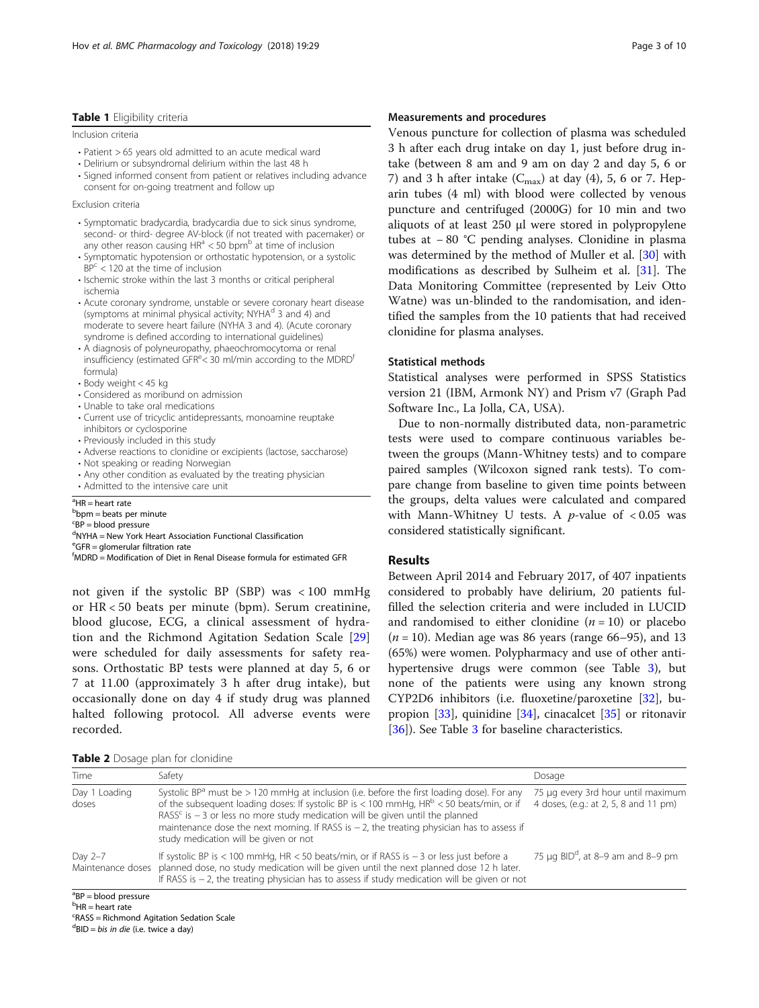## <span id="page-2-0"></span>Table 1 Eligibility criteria

Inclusion criteria

- Patient > 65 years old admitted to an acute medical ward
- Delirium or subsyndromal delirium within the last 48 h
- Signed informed consent from patient or relatives including advance consent for on-going treatment and follow up

### Exclusion criteria

- Symptomatic bradycardia, bradycardia due to sick sinus syndrome, second- or third- degree AV-block (if not treated with pacemaker) or any other reason causing  $HR^a < 50$  bpm<sup>b</sup> at time of inclusion
- Symptomatic hypotension or orthostatic hypotension, or a systolic  $BP<sup>c</sup> < 120$  at the time of inclusion
- Ischemic stroke within the last 3 months or critical peripheral ischemia
- Acute coronary syndrome, unstable or severe coronary heart disease (symptoms at minimal physical activity; NYHA<sup>d</sup> 3 and 4) and moderate to severe heart failure (NYHA 3 and 4). (Acute coronary syndrome is defined according to international guidelines)
- A diagnosis of polyneuropathy, phaeochromocytoma or renal insufficiency (estimated GFR<sup>e</sup>< 30 ml/min according to the MDRD<sup>1</sup> formula)
- Body weight < 45 kg
- Considered as moribund on admission
- Unable to take oral medications
- Current use of tricyclic antidepressants, monoamine reuptake inhibitors or cyclosporine
- Previously included in this study
- Adverse reactions to clonidine or excipients (lactose, saccharose)
- Not speaking or reading Norwegian
- Any other condition as evaluated by the treating physician
- Admitted to the intensive care unit

### $^{\circ}$ HR = heart rate

<sup>b</sup>bpm = beats per minute

## <sup>c</sup>BP = blood pressure

<sup>d</sup>NYHA = New York Heart Association Functional Classification <sup>e</sup>GFR = glomerular filtration rate

f MDRD = Modification of Diet in Renal Disease formula for estimated GFR

not given if the systolic BP (SBP) was < 100 mmHg or HR < 50 beats per minute (bpm). Serum creatinine, blood glucose, ECG, a clinical assessment of hydration and the Richmond Agitation Sedation Scale [\[29](#page-9-0)] were scheduled for daily assessments for safety reasons. Orthostatic BP tests were planned at day 5, 6 or 7 at 11.00 (approximately 3 h after drug intake), but occasionally done on day 4 if study drug was planned halted following protocol. All adverse events were recorded.

## Measurements and procedures

Venous puncture for collection of plasma was scheduled 3 h after each drug intake on day 1, just before drug intake (between 8 am and 9 am on day 2 and day 5, 6 or 7) and 3 h after intake  $(C_{\text{max}})$  at day (4), 5, 6 or 7. Heparin tubes (4 ml) with blood were collected by venous puncture and centrifuged (2000G) for 10 min and two aliquots of at least 250 μl were stored in polypropylene tubes at − 80 °C pending analyses. Clonidine in plasma was determined by the method of Muller et al. [[30](#page-9-0)] with modifications as described by Sulheim et al. [[31](#page-9-0)]. The Data Monitoring Committee (represented by Leiv Otto Watne) was un-blinded to the randomisation, and identified the samples from the 10 patients that had received clonidine for plasma analyses.

## Statistical methods

Statistical analyses were performed in SPSS Statistics version 21 (IBM, Armonk NY) and Prism v7 (Graph Pad Software Inc., La Jolla, CA, USA).

Due to non-normally distributed data, non-parametric tests were used to compare continuous variables between the groups (Mann-Whitney tests) and to compare paired samples (Wilcoxon signed rank tests). To compare change from baseline to given time points between the groups, delta values were calculated and compared with Mann-Whitney U tests. A  $p$ -value of <0.05 was considered statistically significant.

## Results

Between April 2014 and February 2017, of 407 inpatients considered to probably have delirium, 20 patients fulfilled the selection criteria and were included in LUCID and randomised to either clonidine  $(n = 10)$  or placebo  $(n = 10)$ . Median age was 86 years (range 66–95), and 13 (65%) were women. Polypharmacy and use of other antihypertensive drugs were common (see Table [3\)](#page-3-0), but none of the patients were using any known strong CYP2D6 inhibitors (i.e. fluoxetine/paroxetine [\[32](#page-9-0)], bupropion  $[33]$  $[33]$ , quinidine  $[34]$  $[34]$ , cinacalcet  $[35]$  $[35]$  or ritonavir [[36\]](#page-9-0)). See Table [3](#page-3-0) for baseline characteristics.

|  |  |  | Table 2 Dosage plan for clonidine |
|--|--|--|-----------------------------------|
|--|--|--|-----------------------------------|

| Time                                                         | Safety                                                                                                                                                                                                                                                                                                                                                                                                                                      | Dosage                                                                      |
|--------------------------------------------------------------|---------------------------------------------------------------------------------------------------------------------------------------------------------------------------------------------------------------------------------------------------------------------------------------------------------------------------------------------------------------------------------------------------------------------------------------------|-----------------------------------------------------------------------------|
| Day 1 Loading<br>doses                                       | Systolic BP <sup>a</sup> must be > 120 mmHq at inclusion (i.e. before the first loading dose). For any<br>of the subsequent loading doses: If systolic BP is < 100 mmHg, $HRb$ < 50 beats/min, or if<br>RASS <sup>c</sup> is $-3$ or less no more study medication will be given until the planned<br>maintenance dose the next morning. If RASS is $-2$ , the treating physician has to assess if<br>study medication will be given or not | 75 µg every 3rd hour until maximum<br>4 doses, (e.g.: at 2, 5, 8 and 11 pm) |
| Day 2-7<br>Maintenance doses                                 | If systolic BP is < 100 mmHg, HR < 50 beats/min, or if RASS is $-3$ or less just before a<br>planned dose, no study medication will be given until the next planned dose 12 h later.<br>If RASS is $-2$ , the treating physician has to assess if study medication will be given or not                                                                                                                                                     | 75 µg $BIDd$ , at 8–9 am and 8–9 pm                                         |
| ${}^{a}BP = blood pressure$<br>$\mathrm{^b}$ HR = heart rate |                                                                                                                                                                                                                                                                                                                                                                                                                                             |                                                                             |

<sup>c</sup>RASS = Richmond Agitation Sedation Scale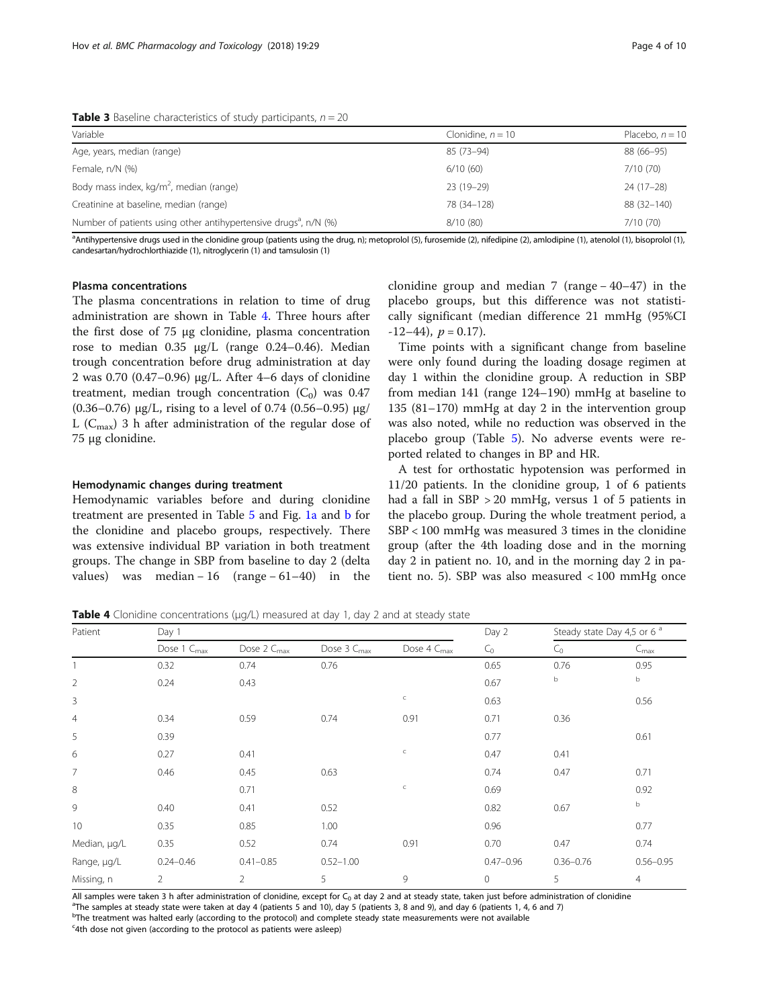<span id="page-3-0"></span>

| Variable                                                                     | Clonidine, $n = 10$ | Placebo, $n = 10$ |
|------------------------------------------------------------------------------|---------------------|-------------------|
| Age, years, median (range)                                                   | 85 (73-94)          | 88 (66-95)        |
| Female, n/N (%)                                                              | 6/10(60)            | 7/10(70)          |
| Body mass index, kg/m <sup>2</sup> , median (range)                          | 23 (19-29)          | $24(17-28)$       |
| Creatinine at baseline, median (range)                                       | 78 (34-128)         | 88 (32-140)       |
| Number of patients using other antihypertensive drugs <sup>a</sup> , n/N (%) | 8/10(80)            | 7/10(70)          |

a<br>Antihypertensive drugs used in the clonidine group (patients using the drug, n); metoprolol (5), furosemide (2), nifedipine (2), amlodipine (1), atenolol (1), bisoprolol (1), candesartan/hydrochlorthiazide (1), nitroglycerin (1) and tamsulosin (1)

## Plasma concentrations

The plasma concentrations in relation to time of drug administration are shown in Table 4. Three hours after the first dose of 75 μg clonidine, plasma concentration rose to median 0.35 μg/L (range 0.24–0.46). Median trough concentration before drug administration at day 2 was 0.70 (0.47–0.96) μg/L. After 4–6 days of clonidine treatment, median trough concentration  $(C_0)$  was 0.47 (0.36–0.76) μg/L, rising to a level of 0.74 (0.56–0.95) μg/ L ( $C_{\text{max}}$ ) 3 h after administration of the regular dose of 75 μg clonidine.

## Hemodynamic changes during treatment

Hemodynamic variables before and during clonidine treatment are presented in Table [5](#page-4-0) and Fig. [1a](#page-5-0) and [b](#page-5-0) for the clonidine and placebo groups, respectively. There was extensive individual BP variation in both treatment groups. The change in SBP from baseline to day 2 (delta values) was median – 16 (range –  $61-40$ ) in the clonidine group and median 7 (range − 40–47) in the placebo groups, but this difference was not statistically significant (median difference 21 mmHg (95%CI  $-12-44$ ,  $p = 0.17$ ).

Time points with a significant change from baseline were only found during the loading dosage regimen at day 1 within the clonidine group. A reduction in SBP from median 141 (range 124–190) mmHg at baseline to 135 (81–170) mmHg at day 2 in the intervention group was also noted, while no reduction was observed in the placebo group (Table [5](#page-4-0)). No adverse events were reported related to changes in BP and HR.

A test for orthostatic hypotension was performed in 11/20 patients. In the clonidine group, 1 of 6 patients had a fall in SBP > 20 mmHg, versus 1 of 5 patients in the placebo group. During the whole treatment period, a SBP < 100 mmHg was measured 3 times in the clonidine group (after the 4th loading dose and in the morning day 2 in patient no. 10, and in the morning day 2 in patient no. 5). SBP was also measured < 100 mmHg once

**Table 4** Clonidine concentrations ( $\mu$ g/L) measured at day 1, day 2 and at steady state

| Patient        | Day 1                   |                         |                         |                         | Day 2         | Steady state Day 4,5 or 6 <sup>a</sup> |                  |
|----------------|-------------------------|-------------------------|-------------------------|-------------------------|---------------|----------------------------------------|------------------|
|                | Dose 1 C <sub>max</sub> | Dose 2 C <sub>max</sub> | Dose 3 C <sub>max</sub> | Dose 4 C <sub>max</sub> | $C_0$         | $C_0$                                  | $C_{\text{max}}$ |
|                | 0.32                    | 0.74                    | 0.76                    |                         | 0.65          | 0.76                                   | 0.95             |
| $\overline{2}$ | 0.24                    | 0.43                    |                         |                         | 0.67          | b                                      | b                |
| 3              |                         |                         |                         | $\subset$               | 0.63          |                                        | 0.56             |
| $\overline{4}$ | 0.34                    | 0.59                    | 0.74                    | 0.91                    | 0.71          | 0.36                                   |                  |
| 5              | 0.39                    |                         |                         |                         | 0.77          |                                        | 0.61             |
| 6              | 0.27                    | 0.41                    |                         | $\subset$               | 0.47          | 0.41                                   |                  |
| $\overline{7}$ | 0.46                    | 0.45                    | 0.63                    |                         | 0.74          | 0.47                                   | 0.71             |
| 8              |                         | 0.71                    |                         | $\subset$               | 0.69          |                                        | 0.92             |
| 9              | 0.40                    | 0.41                    | 0.52                    |                         | 0.82          | 0.67                                   | b                |
| 10             | 0.35                    | 0.85                    | 1.00                    |                         | 0.96          |                                        | 0.77             |
| Median, µg/L   | 0.35                    | 0.52                    | 0.74                    | 0.91                    | 0.70          | 0.47                                   | 0.74             |
| Range, µg/L    | $0.24 - 0.46$           | $0.41 - 0.85$           | $0.52 - 1.00$           |                         | $0.47 - 0.96$ | $0.36 - 0.76$                          | $0.56 - 0.95$    |
| Missing, n     | $\overline{2}$          | $\overline{2}$          | 5                       | 9                       | $\mathbf 0$   | 5                                      | $\overline{4}$   |

All samples were taken 3 h after administration of clonidine, except for  $C_0$  at day 2 and at steady state, taken just before administration of clonidine

 $n_{\text{The samples at steady state were taken at day 4 (patients 5 and 10), day 5 (patients 3, 8 and 9), and day 6 (patients 1, 4, 6 and 7)}$ 

<sup>b</sup>The treatment was halted early (according to the protocol) and complete steady state measurements were not available

<sup>c</sup>4th dose not given (according to the protocol as patients were asleep)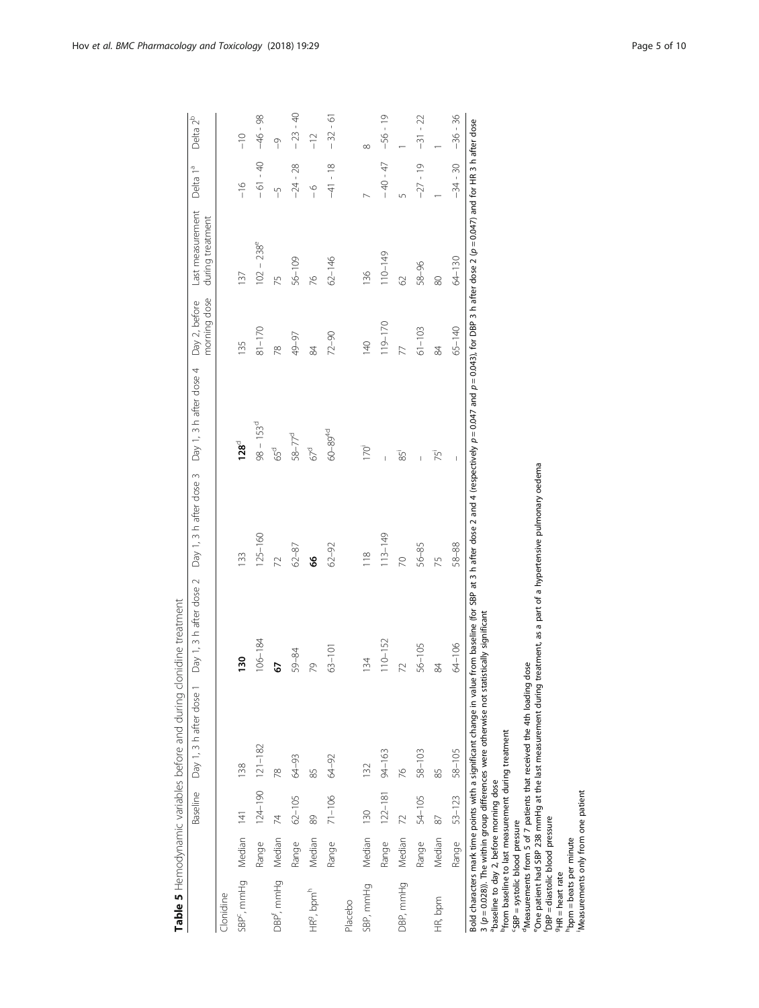<span id="page-4-0"></span>

|                                         |        |                       | Table 5 Hemodynamic variables before and during clonidine treatment                                                                           |                                                                                                                                                                                          |                 |                                                 |                               |                                      |               |                      |
|-----------------------------------------|--------|-----------------------|-----------------------------------------------------------------------------------------------------------------------------------------------|------------------------------------------------------------------------------------------------------------------------------------------------------------------------------------------|-----------------|-------------------------------------------------|-------------------------------|--------------------------------------|---------------|----------------------|
|                                         |        | Baseline              | Day 1, 3 h after dose 1                                                                                                                       | Day 1, 3 h after dose 2                                                                                                                                                                  |                 | Day 1, 3 h after dose 3 Day 1, 3 h after dose 4 | morning dose<br>Day 2, before | Last measurement<br>during treatment | Delta 1ª      | Delta 2 <sup>b</sup> |
| Clonidine                               |        |                       |                                                                                                                                               |                                                                                                                                                                                          |                 |                                                 |                               |                                      |               |                      |
| SBP <sup>c</sup> , mmHg Median 141      |        |                       | 138                                                                                                                                           | $\frac{8}{2}$                                                                                                                                                                            | 133             | $128^\circ$                                     | 135                           | 137                                  | $\frac{9}{1}$ | $-10$                |
|                                         |        | Range 124-190 121-182 |                                                                                                                                               | $106 - 184$                                                                                                                                                                              | $125 - 160$     | $98 - 153^d$                                    | $81 - 170$                    | $102 - 238^e$                        | $-61 - 40$    | $-46 - 98$           |
| DBP <sup>f</sup> , mmHg Median          |        | $\overline{7}$        | $\overline{78}$                                                                                                                               | 67                                                                                                                                                                                       | $\overline{z}$  | ер<br>65                                        | $\frac{8}{2}$                 | 75                                   | $\sqrt{ }$    | $\sqrt{ }$           |
|                                         | Range  | $62 - 105$            | 64-93                                                                                                                                         | 59-84                                                                                                                                                                                    | $62 - 87$       | $58 - 77^d$                                     | 49-97                         | $56 - 109$                           | $-24 - 28$    | $-23 - 40$           |
| HR9, bpm <sup>h</sup>                   | Median | 89                    | 85                                                                                                                                            | 29                                                                                                                                                                                       | 8               | 67 <sup>d</sup>                                 | 84                            | 26                                   | $\frac{6}{1}$ | $-12$                |
|                                         | Range  | $71 - 106$            | 64-92                                                                                                                                         | $63 - 10^{-}$                                                                                                                                                                            | $62 - 92$       | $60 - 89^{4d}$                                  | $72 - 90$                     | $62 - 146$                           | $-41 - 18$    | $-32 - 61$           |
| Placebo                                 |        |                       |                                                                                                                                               |                                                                                                                                                                                          |                 |                                                 |                               |                                      |               |                      |
| SBP, mmHg                               | Median | 130                   | 132                                                                                                                                           | 134                                                                                                                                                                                      | $\frac{8}{118}$ | 170                                             | $\overline{)40}$              | 136                                  |               | $\infty$             |
|                                         | Range  | $122 - 181$           | 94-163                                                                                                                                        | $110 - 152$                                                                                                                                                                              | $113 - 149$     |                                                 | $119 - 170$                   | $110 - 149$                          | $-40 - 47$    | $-56 - 19$           |
| DBP, mmHg                               | Median | 72                    | 76                                                                                                                                            | 72                                                                                                                                                                                       | R               | $\bar{8}$                                       | $\overline{z}$                | 62                                   |               |                      |
|                                         | Range  | 54-105                | 58-103                                                                                                                                        | 56-105                                                                                                                                                                                   | 56-85           | Ï                                               | $61 - 103$                    | 58-96                                | $-27 - 19$    | -31 - 22             |
| HR, bpm                                 | Median | 87                    | 85                                                                                                                                            | 84                                                                                                                                                                                       | 75              | 75'                                             | 84                            | 80                                   |               |                      |
|                                         | Range  | $53 - 123$            | 58-105                                                                                                                                        | 64-106                                                                                                                                                                                   | 58-88           | Ï                                               | $65 - 140$                    | 64-130                               | $-34 - 30$    | $-36 - 36$           |
| abaseline to day 2, before morning dose |        |                       | 3 (p = 0.028)). The within group differences were otherwise not statis<br>Bold characters mark time points with a significant change in value | from baseline (for SBP at 3 h after dose 2 and 4 (respectively $p = 0.047$ and $p = 0.043$ ), for DBP 3 h after dose 2 ( $p = 0.047$ ) and for HR 3 h after dose<br>stically significant |                 |                                                 |                               |                                      |               |                      |

bfrom baseline to last measurement during treatment cSBP = systolic blood pressure

 $d$ Measurements from 5 of 7 patients that received the 4th loading dose

paseme to tagy 2, before morning dose<br>open baseline to last measurement during treatment<br>"Spr = systements from 5 of 7 patients that received the 4th loading dose<br>"One patient had SBP 238 mmHg at the last measurement durin  $^{\rm e}$ One patient had SBP 238 mmHg at the last measurement during treatment, as a part of a hypertensive pulmonary oedema

fDBP = diastolic blood pressure

gHR = heart rate hbpm = beats per minute

iMeasurements only from one patient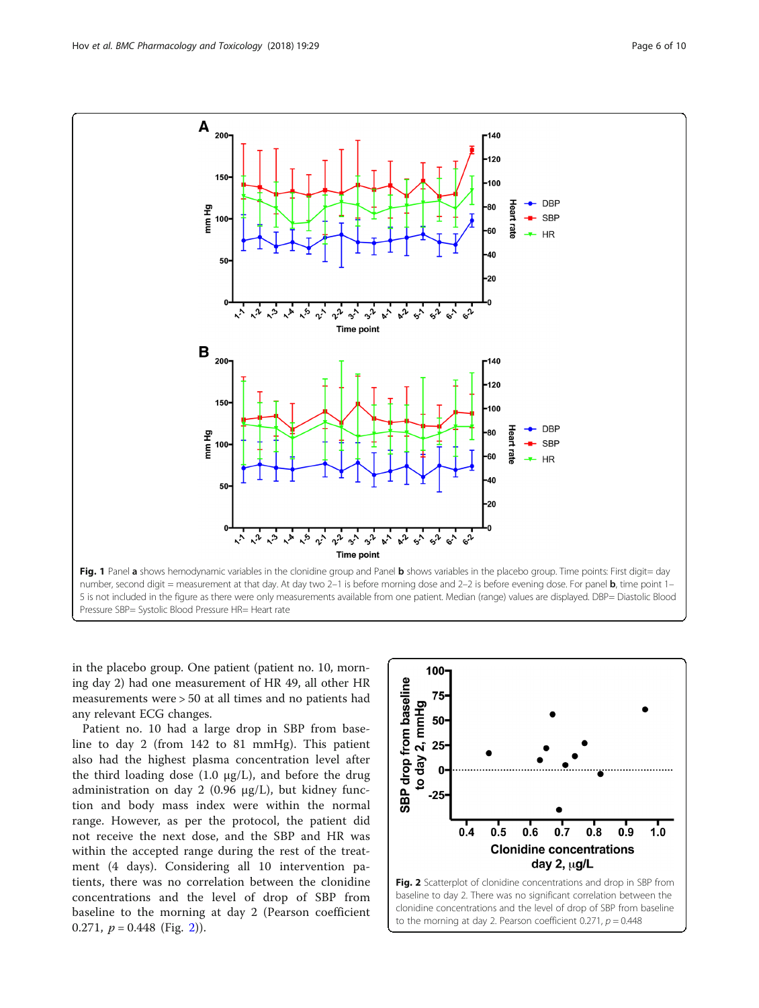in the placebo group. One patient (patient no. 10, morning day 2) had one measurement of HR 49, all other HR measurements were > 50 at all times and no patients had any relevant ECG changes.

Patient no. 10 had a large drop in SBP from baseline to day 2 (from 142 to 81 mmHg). This patient also had the highest plasma concentration level after the third loading dose  $(1.0 \mu g/L)$ , and before the drug administration on day 2 (0.96 μg/L), but kidney function and body mass index were within the normal range. However, as per the protocol, the patient did not receive the next dose, and the SBP and HR was within the accepted range during the rest of the treatment (4 days). Considering all 10 intervention patients, there was no correlation between the clonidine concentrations and the level of drop of SBP from baseline to the morning at day 2 (Pearson coefficient 0.271,  $p = 0.448$  (Fig. 2)).







<span id="page-5-0"></span>

100

75

50

25  $\mathbf 0$ 

SBP drop from baseline

to day 2, mmHg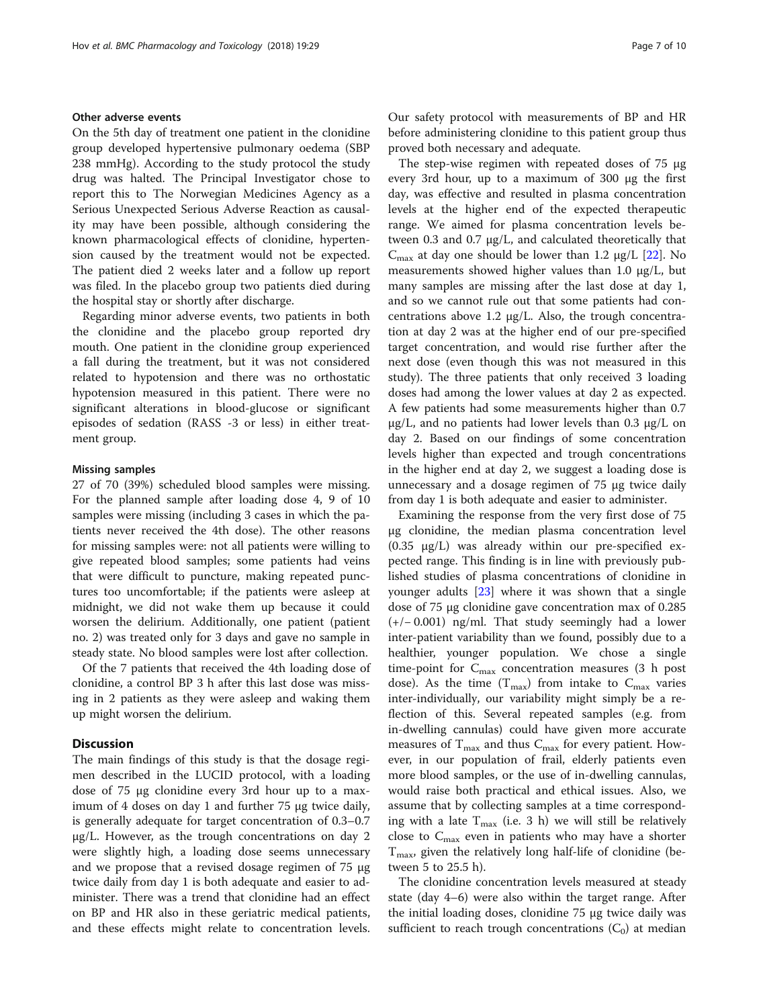## Other adverse events

On the 5th day of treatment one patient in the clonidine group developed hypertensive pulmonary oedema (SBP 238 mmHg). According to the study protocol the study drug was halted. The Principal Investigator chose to report this to The Norwegian Medicines Agency as a Serious Unexpected Serious Adverse Reaction as causality may have been possible, although considering the known pharmacological effects of clonidine, hypertension caused by the treatment would not be expected. The patient died 2 weeks later and a follow up report was filed. In the placebo group two patients died during the hospital stay or shortly after discharge.

Regarding minor adverse events, two patients in both the clonidine and the placebo group reported dry mouth. One patient in the clonidine group experienced a fall during the treatment, but it was not considered related to hypotension and there was no orthostatic hypotension measured in this patient. There were no significant alterations in blood-glucose or significant episodes of sedation (RASS -3 or less) in either treatment group.

## Missing samples

27 of 70 (39%) scheduled blood samples were missing. For the planned sample after loading dose 4, 9 of 10 samples were missing (including 3 cases in which the patients never received the 4th dose). The other reasons for missing samples were: not all patients were willing to give repeated blood samples; some patients had veins that were difficult to puncture, making repeated punctures too uncomfortable; if the patients were asleep at midnight, we did not wake them up because it could worsen the delirium. Additionally, one patient (patient no. 2) was treated only for 3 days and gave no sample in steady state. No blood samples were lost after collection.

Of the 7 patients that received the 4th loading dose of clonidine, a control BP 3 h after this last dose was missing in 2 patients as they were asleep and waking them up might worsen the delirium.

## **Discussion**

The main findings of this study is that the dosage regimen described in the LUCID protocol, with a loading dose of 75 μg clonidine every 3rd hour up to a maximum of 4 doses on day 1 and further 75 μg twice daily, is generally adequate for target concentration of 0.3–0.7 μg/L. However, as the trough concentrations on day 2 were slightly high, a loading dose seems unnecessary and we propose that a revised dosage regimen of 75 μg twice daily from day 1 is both adequate and easier to administer. There was a trend that clonidine had an effect on BP and HR also in these geriatric medical patients, and these effects might relate to concentration levels. Our safety protocol with measurements of BP and HR before administering clonidine to this patient group thus proved both necessary and adequate.

The step-wise regimen with repeated doses of 75 μg every 3rd hour, up to a maximum of 300 μg the first day, was effective and resulted in plasma concentration levels at the higher end of the expected therapeutic range. We aimed for plasma concentration levels between 0.3 and 0.7 μg/L, and calculated theoretically that  $C_{\text{max}}$  at day one should be lower than 1.2 μg/L [\[22](#page-9-0)]. No measurements showed higher values than 1.0 μg/L, but many samples are missing after the last dose at day 1, and so we cannot rule out that some patients had concentrations above 1.2 μg/L. Also, the trough concentration at day 2 was at the higher end of our pre-specified target concentration, and would rise further after the next dose (even though this was not measured in this study). The three patients that only received 3 loading doses had among the lower values at day 2 as expected. A few patients had some measurements higher than 0.7 μg/L, and no patients had lower levels than 0.3 μg/L on day 2. Based on our findings of some concentration levels higher than expected and trough concentrations in the higher end at day 2, we suggest a loading dose is unnecessary and a dosage regimen of 75 μg twice daily from day 1 is both adequate and easier to administer.

Examining the response from the very first dose of 75 μg clonidine, the median plasma concentration level (0.35 μg/L) was already within our pre-specified expected range. This finding is in line with previously published studies of plasma concentrations of clonidine in younger adults [\[23](#page-9-0)] where it was shown that a single dose of 75 μg clonidine gave concentration max of 0.285 (+/− 0.001) ng/ml. That study seemingly had a lower inter-patient variability than we found, possibly due to a healthier, younger population. We chose a single time-point for  $C_{\text{max}}$  concentration measures (3 h post dose). As the time  $(T_{\text{max}})$  from intake to  $C_{\text{max}}$  varies inter-individually, our variability might simply be a reflection of this. Several repeated samples (e.g. from in-dwelling cannulas) could have given more accurate measures of  $T_{\text{max}}$  and thus  $C_{\text{max}}$  for every patient. However, in our population of frail, elderly patients even more blood samples, or the use of in-dwelling cannulas, would raise both practical and ethical issues. Also, we assume that by collecting samples at a time corresponding with a late  $T_{\text{max}}$  (i.e. 3 h) we will still be relatively close to  $C_{\text{max}}$  even in patients who may have a shorter  $T_{\text{max}}$ , given the relatively long half-life of clonidine (between 5 to 25.5 h).

The clonidine concentration levels measured at steady state (day 4–6) were also within the target range. After the initial loading doses, clonidine 75 μg twice daily was sufficient to reach trough concentrations  $(C_0)$  at median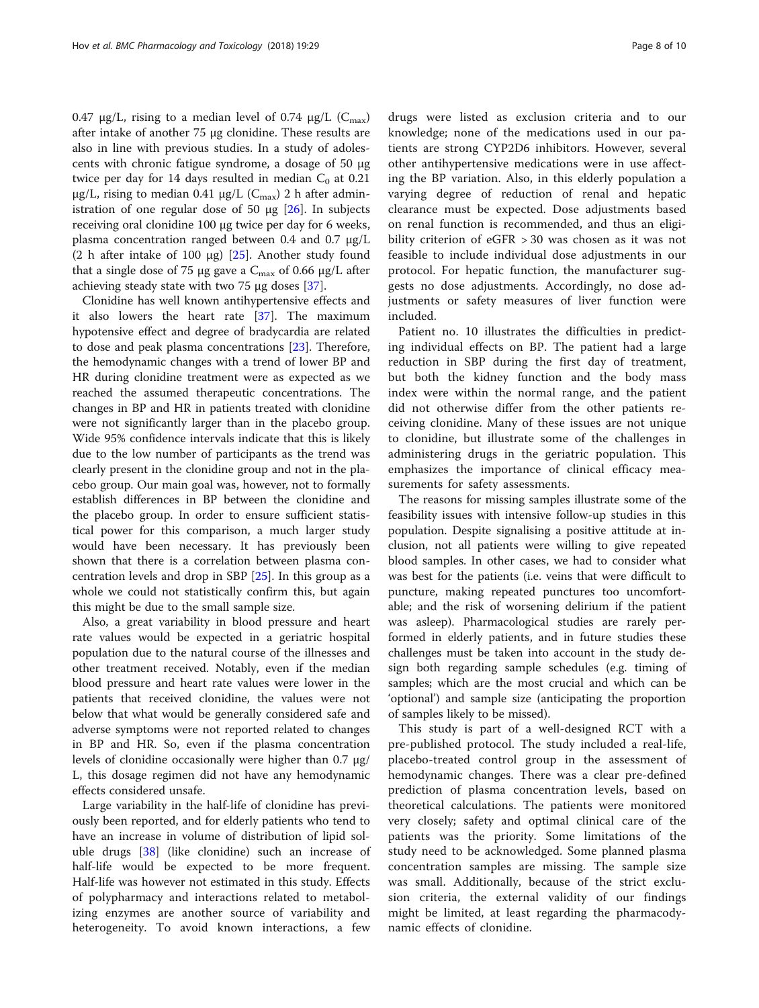0.47 μg/L, rising to a median level of 0.74 μg/L ( $C_{\text{max}}$ ) after intake of another 75 μg clonidine. These results are also in line with previous studies. In a study of adolescents with chronic fatigue syndrome, a dosage of 50 μg twice per day for 14 days resulted in median  $C_0$  at 0.21 μg/L, rising to median 0.41 μg/L ( $C_{\text{max}}$ ) 2 h after administration of one regular dose of 50  $\mu$ g [[26](#page-9-0)]. In subjects receiving oral clonidine 100 μg twice per day for 6 weeks, plasma concentration ranged between 0.4 and 0.7 μg/L (2 h after intake of 100 μg) [[25](#page-9-0)]. Another study found that a single dose of 75 μg gave a  $C_{\text{max}}$  of 0.66 μg/L after achieving steady state with two 75 μg doses [\[37\]](#page-9-0).

Clonidine has well known antihypertensive effects and it also lowers the heart rate [\[37](#page-9-0)]. The maximum hypotensive effect and degree of bradycardia are related to dose and peak plasma concentrations [[23](#page-9-0)]. Therefore, the hemodynamic changes with a trend of lower BP and HR during clonidine treatment were as expected as we reached the assumed therapeutic concentrations. The changes in BP and HR in patients treated with clonidine were not significantly larger than in the placebo group. Wide 95% confidence intervals indicate that this is likely due to the low number of participants as the trend was clearly present in the clonidine group and not in the placebo group. Our main goal was, however, not to formally establish differences in BP between the clonidine and the placebo group. In order to ensure sufficient statistical power for this comparison, a much larger study would have been necessary. It has previously been shown that there is a correlation between plasma concentration levels and drop in SBP [\[25](#page-9-0)]. In this group as a whole we could not statistically confirm this, but again this might be due to the small sample size.

Also, a great variability in blood pressure and heart rate values would be expected in a geriatric hospital population due to the natural course of the illnesses and other treatment received. Notably, even if the median blood pressure and heart rate values were lower in the patients that received clonidine, the values were not below that what would be generally considered safe and adverse symptoms were not reported related to changes in BP and HR. So, even if the plasma concentration levels of clonidine occasionally were higher than 0.7 μg/ L, this dosage regimen did not have any hemodynamic effects considered unsafe.

Large variability in the half-life of clonidine has previously been reported, and for elderly patients who tend to have an increase in volume of distribution of lipid soluble drugs [\[38](#page-9-0)] (like clonidine) such an increase of half-life would be expected to be more frequent. Half-life was however not estimated in this study. Effects of polypharmacy and interactions related to metabolizing enzymes are another source of variability and heterogeneity. To avoid known interactions, a few drugs were listed as exclusion criteria and to our knowledge; none of the medications used in our patients are strong CYP2D6 inhibitors. However, several other antihypertensive medications were in use affecting the BP variation. Also, in this elderly population a varying degree of reduction of renal and hepatic clearance must be expected. Dose adjustments based on renal function is recommended, and thus an eligibility criterion of eGFR > 30 was chosen as it was not feasible to include individual dose adjustments in our protocol. For hepatic function, the manufacturer suggests no dose adjustments. Accordingly, no dose adjustments or safety measures of liver function were included.

Patient no. 10 illustrates the difficulties in predicting individual effects on BP. The patient had a large reduction in SBP during the first day of treatment, but both the kidney function and the body mass index were within the normal range, and the patient did not otherwise differ from the other patients receiving clonidine. Many of these issues are not unique to clonidine, but illustrate some of the challenges in administering drugs in the geriatric population. This emphasizes the importance of clinical efficacy measurements for safety assessments.

The reasons for missing samples illustrate some of the feasibility issues with intensive follow-up studies in this population. Despite signalising a positive attitude at inclusion, not all patients were willing to give repeated blood samples. In other cases, we had to consider what was best for the patients (i.e. veins that were difficult to puncture, making repeated punctures too uncomfortable; and the risk of worsening delirium if the patient was asleep). Pharmacological studies are rarely performed in elderly patients, and in future studies these challenges must be taken into account in the study design both regarding sample schedules (e.g. timing of samples; which are the most crucial and which can be 'optional') and sample size (anticipating the proportion of samples likely to be missed).

This study is part of a well-designed RCT with a pre-published protocol. The study included a real-life, placebo-treated control group in the assessment of hemodynamic changes. There was a clear pre-defined prediction of plasma concentration levels, based on theoretical calculations. The patients were monitored very closely; safety and optimal clinical care of the patients was the priority. Some limitations of the study need to be acknowledged. Some planned plasma concentration samples are missing. The sample size was small. Additionally, because of the strict exclusion criteria, the external validity of our findings might be limited, at least regarding the pharmacodynamic effects of clonidine.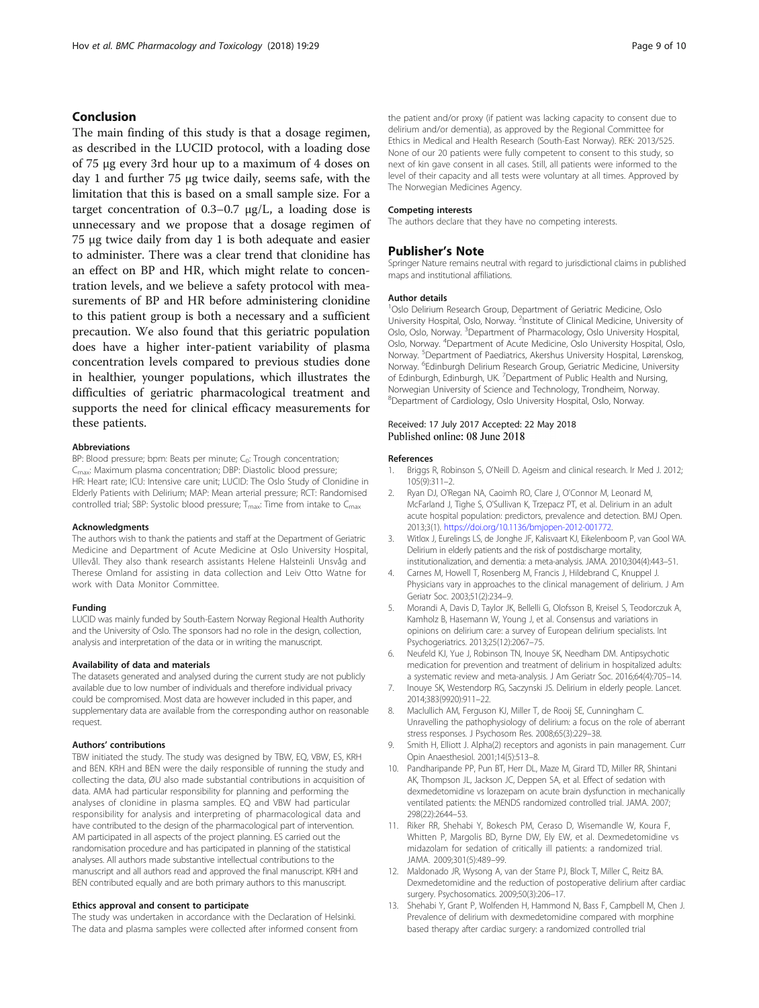## <span id="page-8-0"></span>Conclusion

The main finding of this study is that a dosage regimen, as described in the LUCID protocol, with a loading dose of 75 μg every 3rd hour up to a maximum of 4 doses on day 1 and further 75 μg twice daily, seems safe, with the limitation that this is based on a small sample size. For a target concentration of 0.3–0.7 μg/L, a loading dose is unnecessary and we propose that a dosage regimen of 75 μg twice daily from day 1 is both adequate and easier to administer. There was a clear trend that clonidine has an effect on BP and HR, which might relate to concentration levels, and we believe a safety protocol with measurements of BP and HR before administering clonidine to this patient group is both a necessary and a sufficient precaution. We also found that this geriatric population does have a higher inter-patient variability of plasma concentration levels compared to previous studies done in healthier, younger populations, which illustrates the difficulties of geriatric pharmacological treatment and supports the need for clinical efficacy measurements for these patients.

#### Abbreviations

BP: Blood pressure; bpm: Beats per minute; C<sub>0</sub>: Trough concentration; C<sub>max</sub>: Maximum plasma concentration; DBP: Diastolic blood pressure; HR: Heart rate; ICU: Intensive care unit; LUCID: The Oslo Study of Clonidine in Elderly Patients with Delirium; MAP: Mean arterial pressure; RCT: Randomised controlled trial; SBP: Systolic blood pressure;  $T_{\text{max}}$ : Time from intake to  $C_{\text{max}}$ 

#### Acknowledgments

The authors wish to thank the patients and staff at the Department of Geriatric Medicine and Department of Acute Medicine at Oslo University Hospital, Ullevål. They also thank research assistants Helene Halsteinli Unsvåg and Therese Omland for assisting in data collection and Leiv Otto Watne for work with Data Monitor Committee.

## Funding

LUCID was mainly funded by South-Eastern Norway Regional Health Authority and the University of Oslo. The sponsors had no role in the design, collection, analysis and interpretation of the data or in writing the manuscript.

### Availability of data and materials

The datasets generated and analysed during the current study are not publicly available due to low number of individuals and therefore individual privacy could be compromised. Most data are however included in this paper, and supplementary data are available from the corresponding author on reasonable request.

### Authors' contributions

TBW initiated the study. The study was designed by TBW, EQ, VBW, ES, KRH and BEN. KRH and BEN were the daily responsible of running the study and collecting the data, ØU also made substantial contributions in acquisition of data. AMA had particular responsibility for planning and performing the analyses of clonidine in plasma samples. EQ and VBW had particular responsibility for analysis and interpreting of pharmacological data and have contributed to the design of the pharmacological part of intervention. AM participated in all aspects of the project planning. ES carried out the randomisation procedure and has participated in planning of the statistical analyses. All authors made substantive intellectual contributions to the manuscript and all authors read and approved the final manuscript. KRH and BEN contributed equally and are both primary authors to this manuscript.

### Ethics approval and consent to participate

The study was undertaken in accordance with the Declaration of Helsinki. The data and plasma samples were collected after informed consent from the patient and/or proxy (if patient was lacking capacity to consent due to delirium and/or dementia), as approved by the Regional Committee for Ethics in Medical and Health Research (South-East Norway). REK: 2013/525. None of our 20 patients were fully competent to consent to this study, so next of kin gave consent in all cases. Still, all patients were informed to the level of their capacity and all tests were voluntary at all times. Approved by The Norwegian Medicines Agency.

#### Competing interests

The authors declare that they have no competing interests.

## Publisher's Note

Springer Nature remains neutral with regard to jurisdictional claims in published maps and institutional affiliations.

### Author details

<sup>1</sup>Oslo Delirium Research Group, Department of Geriatric Medicine, Oslo University Hospital, Oslo, Norway. <sup>2</sup>Institute of Clinical Medicine, University of Oslo, Oslo, Norway. <sup>3</sup>Department of Pharmacology, Oslo University Hospital Oslo, Norway. <sup>4</sup>Department of Acute Medicine, Oslo University Hospital, Oslo Norway. <sup>5</sup>Department of Paediatrics, Akershus University Hospital, Lørenskog Norway. <sup>6</sup>Edinburgh Delirium Research Group, Geriatric Medicine, University of Edinburgh, Edinburgh, UK. <sup>7</sup> Department of Public Health and Nursing Norwegian University of Science and Technology, Trondheim, Norway. 8 Department of Cardiology, Oslo University Hospital, Oslo, Norway.

## Received: 17 July 2017 Accepted: 22 May 2018 Published online: 08 June 2018

#### References

- Briggs R, Robinson S, O'Neill D. Ageism and clinical research. Ir Med J. 2012; 105(9):311–2.
- 2. Ryan DJ, O'Regan NA, Caoimh RO, Clare J, O'Connor M, Leonard M, McFarland J, Tighe S, O'Sullivan K, Trzepacz PT, et al. Delirium in an adult acute hospital population: predictors, prevalence and detection. BMJ Open. 2013;3(1). [https://doi.org/10.1136/bmjopen-2012-001772.](https://doi.org/10.1136/bmjopen-2012-001772)
- 3. Witlox J, Eurelings LS, de Jonghe JF, Kalisvaart KJ, Eikelenboom P, van Gool WA. Delirium in elderly patients and the risk of postdischarge mortality, institutionalization, and dementia: a meta-analysis. JAMA. 2010;304(4):443–51.
- 4. Carnes M, Howell T, Rosenberg M, Francis J, Hildebrand C, Knuppel J. Physicians vary in approaches to the clinical management of delirium. J Am Geriatr Soc. 2003;51(2):234–9.
- 5. Morandi A, Davis D, Taylor JK, Bellelli G, Olofsson B, Kreisel S, Teodorczuk A, Kamholz B, Hasemann W, Young J, et al. Consensus and variations in opinions on delirium care: a survey of European delirium specialists. Int Psychogeriatrics. 2013;25(12):2067–75.
- 6. Neufeld KJ, Yue J, Robinson TN, Inouye SK, Needham DM. Antipsychotic medication for prevention and treatment of delirium in hospitalized adults: a systematic review and meta-analysis. J Am Geriatr Soc. 2016;64(4):705–14.
- 7. Inouye SK, Westendorp RG, Saczynski JS. Delirium in elderly people. Lancet. 2014;383(9920):911–22.
- 8. Maclullich AM, Ferguson KJ, Miller T, de Rooij SE, Cunningham C. Unravelling the pathophysiology of delirium: a focus on the role of aberrant stress responses. J Psychosom Res. 2008;65(3):229–38.
- 9. Smith H, Elliott J. Alpha(2) receptors and agonists in pain management. Curr Opin Anaesthesiol. 2001;14(5):513–8.
- 10. Pandharipande PP, Pun BT, Herr DL, Maze M, Girard TD, Miller RR, Shintani AK, Thompson JL, Jackson JC, Deppen SA, et al. Effect of sedation with dexmedetomidine vs lorazepam on acute brain dysfunction in mechanically ventilated patients: the MENDS randomized controlled trial. JAMA. 2007; 298(22):2644–53.
- 11. Riker RR, Shehabi Y, Bokesch PM, Ceraso D, Wisemandle W, Koura F, Whitten P, Margolis BD, Byrne DW, Ely EW, et al. Dexmedetomidine vs midazolam for sedation of critically ill patients: a randomized trial. JAMA. 2009;301(5):489–99.
- 12. Maldonado JR, Wysong A, van der Starre PJ, Block T, Miller C, Reitz BA. Dexmedetomidine and the reduction of postoperative delirium after cardiac surgery. Psychosomatics. 2009;50(3):206–17.
- 13. Shehabi Y, Grant P, Wolfenden H, Hammond N, Bass F, Campbell M, Chen J. Prevalence of delirium with dexmedetomidine compared with morphine based therapy after cardiac surgery: a randomized controlled trial